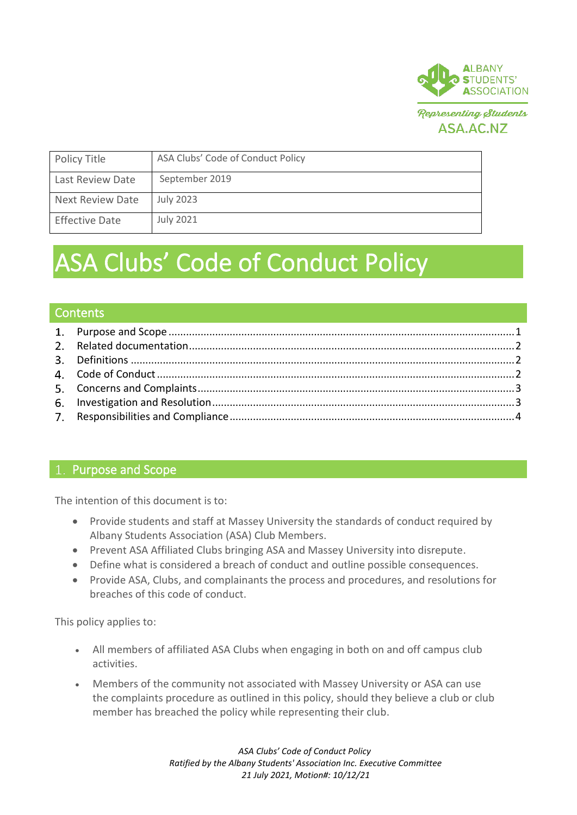

| Policy Title            | ASA Clubs' Code of Conduct Policy |
|-------------------------|-----------------------------------|
| Last Review Date        | September 2019                    |
| <b>Next Review Date</b> | <b>July 2023</b>                  |
| <b>Effective Date</b>   | <b>July 2021</b>                  |

# ASA Clubs' Code of Conduct Policy

#### **Contents**

## <span id="page-0-0"></span>1. Purpose and Scope

The intention of this document is to:

- Provide students and staff at Massey University the standards of conduct required by Albany Students Association (ASA) Club Members.
- Prevent ASA Affiliated Clubs bringing ASA and Massey University into disrepute.
- Define what is considered a breach of conduct and outline possible consequences.
- Provide ASA, Clubs, and complainants the process and procedures, and resolutions for breaches of this code of conduct.

This policy applies to:

- All members of affiliated ASA Clubs when engaging in both on and off campus club activities.
- Members of the community not associated with Massey University or ASA can use the complaints procedure as outlined in this policy, should they believe a club or club member has breached the policy while representing their club.

*ASA Clubs' Code of Conduct Policy Ratified by the Albany Students' Association Inc. Executive Committee 21 July 2021, Motion#: 10/12/21*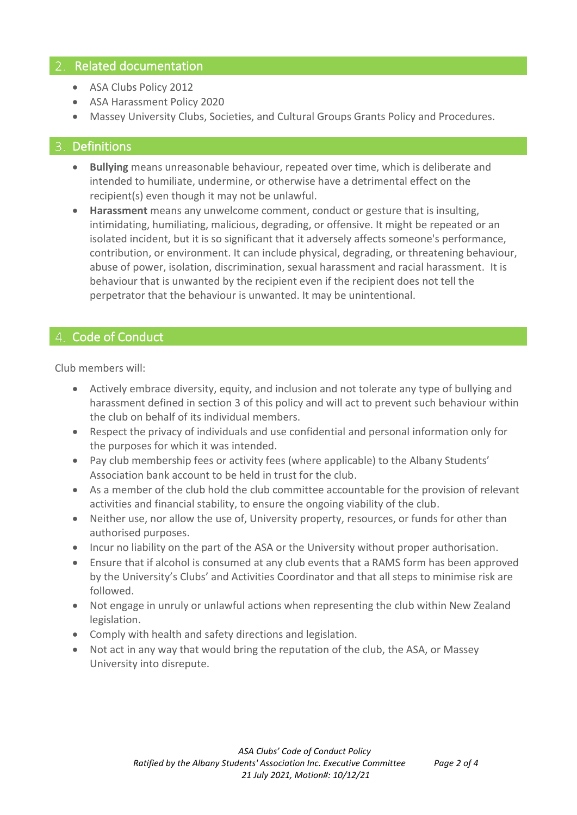## <span id="page-1-0"></span>2. Related documentation

- ASA Clubs Policy 2012
- ASA Harassment Policy 2020
- Massey University Clubs, Societies, and Cultural Groups Grants Policy and Procedures.

### <span id="page-1-1"></span>3. Definitions

- **Bullying** means unreasonable behaviour, repeated over time, which is deliberate and intended to humiliate, undermine, or otherwise have a detrimental effect on the recipient(s) even though it may not be unlawful.
- **Harassment** means any unwelcome comment, conduct or gesture that is insulting, intimidating, humiliating, malicious, degrading, or offensive. It might be repeated or an isolated incident, but it is so significant that it adversely affects someone's performance, contribution, or environment. It can include physical, degrading, or threatening behaviour, abuse of power, isolation, discrimination, sexual harassment and racial harassment. It is behaviour that is unwanted by the recipient even if the recipient does not tell the perpetrator that the behaviour is unwanted. It may be unintentional.

# <span id="page-1-2"></span>4. Code of Conduct

Club members will:

- Actively embrace diversity, equity, and inclusion and not tolerate any type of bullying and harassment defined in section 3 of this policy and will act to prevent such behaviour within the club on behalf of its individual members.
- Respect the privacy of individuals and use confidential and personal information only for the purposes for which it was intended.
- Pay club membership fees or activity fees (where applicable) to the Albany Students' Association bank account to be held in trust for the club.
- As a member of the club hold the club committee accountable for the provision of relevant activities and financial stability, to ensure the ongoing viability of the club.
- Neither use, nor allow the use of, University property, resources, or funds for other than authorised purposes.
- Incur no liability on the part of the ASA or the University without proper authorisation.
- Ensure that if alcohol is consumed at any club events that a RAMS form has been approved by the University's Clubs' and Activities Coordinator and that all steps to minimise risk are followed.
- Not engage in unruly or unlawful actions when representing the club within New Zealand legislation.
- Comply with health and safety directions and legislation.
- Not act in any way that would bring the reputation of the club, the ASA, or Massey University into disrepute.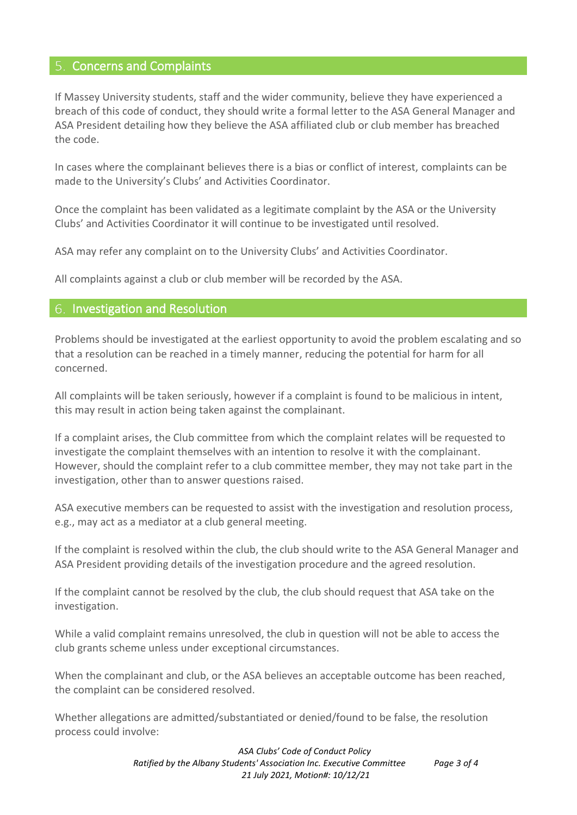#### <span id="page-2-0"></span>5. Concerns and Complaints

If Massey University students, staff and the wider community, believe they have experienced a breach of this code of conduct, they should write a formal letter to the ASA General Manager and ASA President detailing how they believe the ASA affiliated club or club member has breached the code.

In cases where the complainant believes there is a bias or conflict of interest, complaints can be made to the University's Clubs' and Activities Coordinator.

Once the complaint has been validated as a legitimate complaint by the ASA or the University Clubs' and Activities Coordinator it will continue to be investigated until resolved.

ASA may refer any complaint on to the University Clubs' and Activities Coordinator.

All complaints against a club or club member will be recorded by the ASA.

#### <span id="page-2-1"></span>Investigation and Resolution

Problems should be investigated at the earliest opportunity to avoid the problem escalating and so that a resolution can be reached in a timely manner, reducing the potential for harm for all concerned.

All complaints will be taken seriously, however if a complaint is found to be malicious in intent, this may result in action being taken against the complainant.

If a complaint arises, the Club committee from which the complaint relates will be requested to investigate the complaint themselves with an intention to resolve it with the complainant. However, should the complaint refer to a club committee member, they may not take part in the investigation, other than to answer questions raised.

ASA executive members can be requested to assist with the investigation and resolution process, e.g., may act as a mediator at a club general meeting.

If the complaint is resolved within the club, the club should write to the ASA General Manager and ASA President providing details of the investigation procedure and the agreed resolution.

If the complaint cannot be resolved by the club, the club should request that ASA take on the investigation.

While a valid complaint remains unresolved, the club in question will not be able to access the club grants scheme unless under exceptional circumstances.

When the complainant and club, or the ASA believes an acceptable outcome has been reached, the complaint can be considered resolved.

Whether allegations are admitted/substantiated or denied/found to be false, the resolution process could involve:

> *ASA Clubs' Code of Conduct Policy Ratified by the Albany Students' Association Inc. Executive Committee Page 3 of 4 21 July 2021, Motion#: 10/12/21*